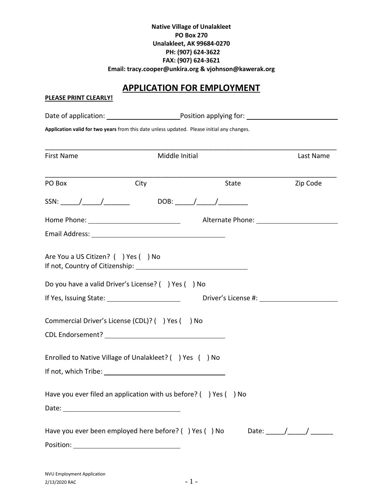#### **Native Village of Unalakleet PO Box 270 Unalakleet, AK 99684-0270 PH: (907) 624-3622 FAX: (907) 624-3621 Email: tracy.cooper@unkira.org & vjohnson@kawerak.org**

# **APPLICATION FOR EMPLOYMENT**

**PLEASE PRINT CLEARLY!**

| Application valid for two years from this date unless updated. Please initial any changes. |                |       |                                   |
|--------------------------------------------------------------------------------------------|----------------|-------|-----------------------------------|
| First Name                                                                                 | Middle Initial |       | Last Name                         |
| PO Box                                                                                     | <b>City</b>    | State | Zip Code                          |
|                                                                                            |                |       |                                   |
|                                                                                            |                |       | Alternate Phone: Alternate Phone: |
|                                                                                            |                |       |                                   |
| Are You a US Citizen? ( ) Yes ( ) No                                                       |                |       |                                   |
| Do you have a valid Driver's License? () Yes () No                                         |                |       |                                   |
|                                                                                            |                |       |                                   |
| Commercial Driver's License (CDL)? ( ) Yes ( ) No                                          |                |       |                                   |
| Enrolled to Native Village of Unalakleet? ( ) Yes ( ) No                                   |                |       |                                   |
| Have you ever filed an application with us before? ( ) Yes ( ) No                          |                |       |                                   |
|                                                                                            |                |       |                                   |
| Have you ever been employed here before? () Yes () No Date: _____/_____/ _______           |                |       |                                   |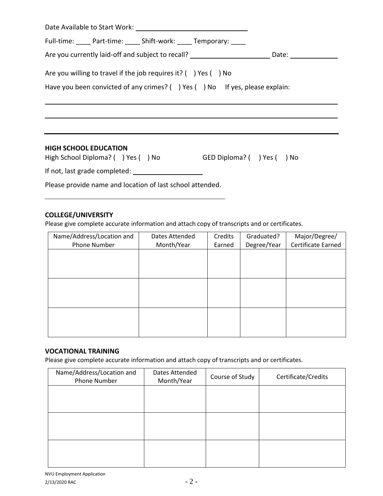| Date Available to Start Work: New York: New York: New York: New York: New York: New York: New York: New York: New York: New York: New York: New York: New York: New York: New York: New York: New York: New York: New York: Ne |
|--------------------------------------------------------------------------------------------------------------------------------------------------------------------------------------------------------------------------------|
| Full-time: Part-time: ______ Shift-work: _____ Temporary: _____                                                                                                                                                                |
|                                                                                                                                                                                                                                |
| Are you willing to travel if the job requires it? $( )$ Yes $( )$ No                                                                                                                                                           |
| Have you been convicted of any crimes? () Yes () No If yes, please explain:                                                                                                                                                    |
|                                                                                                                                                                                                                                |
|                                                                                                                                                                                                                                |
|                                                                                                                                                                                                                                |
| <b>HIGH SCHOOL EDUCATION</b>                                                                                                                                                                                                   |
|                                                                                                                                                                                                                                |
| Please provide name and location of last school attended.                                                                                                                                                                      |

# **COLLEGE/UNIVERSITY**

Please give complete accurate information and attach copy of transcripts and or certificates.

| Name/Address/Location and | Dates Attended | Credits | Graduated?  | Major/Degree/      |
|---------------------------|----------------|---------|-------------|--------------------|
| Phone Number              | Month/Year     | Earned  | Degree/Year | Certificate Earned |
|                           |                |         |             |                    |
|                           |                |         |             |                    |
|                           |                |         |             |                    |
|                           |                |         |             |                    |
|                           |                |         |             |                    |
|                           |                |         |             |                    |
|                           |                |         |             |                    |
|                           |                |         |             |                    |
|                           |                |         |             |                    |
|                           |                |         |             |                    |

#### **VOCATIONAL TRAINING**

Please give complete accurate information and attach copy of transcripts and or certificates.

| Name/Address/Location and<br>Phone Number | Dates Attended<br>Month/Year | Course of Study | Certificate/Credits |
|-------------------------------------------|------------------------------|-----------------|---------------------|
|                                           |                              |                 |                     |
|                                           |                              |                 |                     |
|                                           |                              |                 |                     |
|                                           |                              |                 |                     |
|                                           |                              |                 |                     |
|                                           |                              |                 |                     |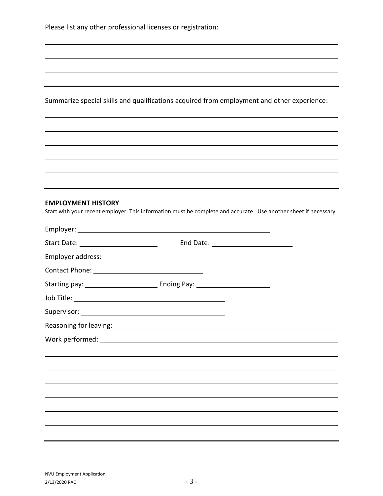|  |  |  |  |  | Please list any other professional licenses or registration: |
|--|--|--|--|--|--------------------------------------------------------------|
|--|--|--|--|--|--------------------------------------------------------------|

| <b>EMPLOYMENT HISTORY</b><br>Start with your recent employer. This information must be complete and accurate. Use another sheet if necessary. |  |
|-----------------------------------------------------------------------------------------------------------------------------------------------|--|
|                                                                                                                                               |  |
|                                                                                                                                               |  |
|                                                                                                                                               |  |
|                                                                                                                                               |  |
|                                                                                                                                               |  |
|                                                                                                                                               |  |
|                                                                                                                                               |  |
|                                                                                                                                               |  |
|                                                                                                                                               |  |
|                                                                                                                                               |  |
|                                                                                                                                               |  |
|                                                                                                                                               |  |
|                                                                                                                                               |  |
|                                                                                                                                               |  |
|                                                                                                                                               |  |
|                                                                                                                                               |  |
|                                                                                                                                               |  |

Summarize special skills and qualifications acquired from employment and other experience: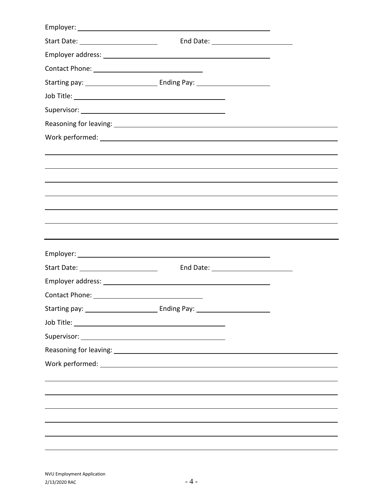| Start Date: <u>www.community.com</u> |  |
|--------------------------------------|--|
|                                      |  |
|                                      |  |
|                                      |  |
|                                      |  |
|                                      |  |
|                                      |  |
|                                      |  |
|                                      |  |
|                                      |  |
|                                      |  |
|                                      |  |
|                                      |  |
|                                      |  |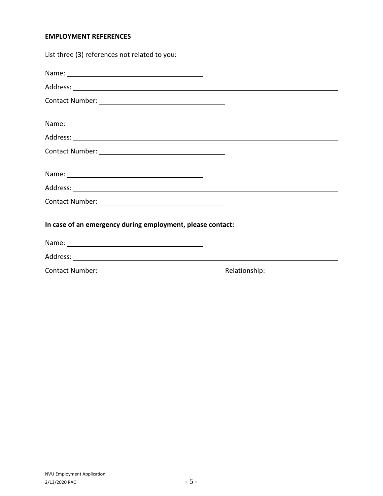### **EMPLOYMENT REFERENCES**

| List three (3) references not related to you:                                                                                                                                                                                 |  |
|-------------------------------------------------------------------------------------------------------------------------------------------------------------------------------------------------------------------------------|--|
|                                                                                                                                                                                                                               |  |
|                                                                                                                                                                                                                               |  |
|                                                                                                                                                                                                                               |  |
| Name: Name and the second contract of the second contract of the second contract of the second contract of the second contract of the second contract of the second contract of the second contract of the second contract of |  |
|                                                                                                                                                                                                                               |  |
|                                                                                                                                                                                                                               |  |
|                                                                                                                                                                                                                               |  |
|                                                                                                                                                                                                                               |  |
|                                                                                                                                                                                                                               |  |
| In case of an emergency during employment, please contact:                                                                                                                                                                    |  |
| Name: Name and the second contract of the second contract of the second contract of the second contract of the second contract of the second contract of the second contract of the second contract of the second contract of |  |
|                                                                                                                                                                                                                               |  |
|                                                                                                                                                                                                                               |  |